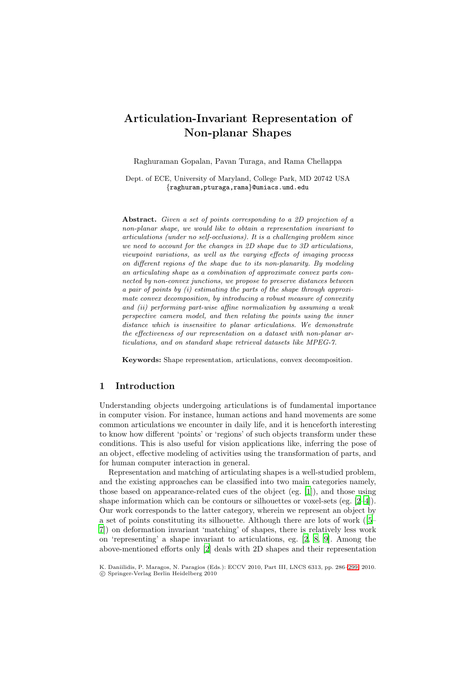# **Articulation-Invariant Representation of Non-planar Shapes**

Raghuraman Gopalan, Pavan Turaga, and Rama Chellappa

Dept. of ECE, University of Maryland, College Park, MD 20742 USA {raghuram,pturaga,rama}@umiacs.umd.edu

**Abstract.** Given a set of points corresponding to a 2D projection of a non-planar shape, we would like to obtain a representation invariant to articulations (under no self-occlusions). It is a challenging problem since we need to account for the changes in 2D shape due to 3D articulations, viewpoint variations, as well as the varying effects of imaging process on different regions of the shape due to its non-planarity. By modeling an articulating shape as a combination of approximate convex parts connected by non-convex junctions, we propose to preserve distances between a pair of points by (i) estimating the parts of the shape through approximate convex decomposition, by introducing a robust measure of convexity and (ii) performing part-wise affine normalization by assuming a weak perspective camera model, and then relating the points using the inner distance which is insensitive to planar articulations. We demonstrate the effectiveness of our representation on a dataset with non-planar articulations, and on standard shape retrieval datasets like MPEG-7.

**Keywords:** Shape representation, articulations, convex decomposition.

# **1 Introduction**

Understanding objects undergoing articulations is of fundamental importance in computer vision. For instance, human actions and hand movements are some common articulations we encounter in daily life, and it is henceforth interesting to know how different 'points' or 'regions' of such objects transform under these conditions. This is also useful for vision applications like, inferring the pose of an object, effective modeling of activities using the transformation of parts, and for human computer interaction in general.

Representation and matching of articulating shapes is a well-studied problem, and the existing approaches can be classified into two main categories namely, those based on appearance-related cues of the object (eg. [1]), and those using shape information which can be contours or silhouettes or voxel-sets (eg. [2–4]). Our work corresponds to the latter category, wherein we represent an object by a set of points constituting its silhouette. Although there are lots of work ([5– 7]) on deformation invariant 'matching' of shapes, there i[s r](#page-12-0)elatively less work on 'representing' a shape invariant to articulations, eg. [2, 8, 9]. Amo[ng](#page-12-1) [th](#page-12-2)e above-mentioned efforts only [2] deals with 2D shapes and their representation

[K](#page-12-3). Daniilidis, P. Maragos, N. Paragios (Eds.): ECCV 2010, Part III, LNCS 6313, pp. 286–299, 2010. -c Springer-Verlag Berlin Heidelberg 2010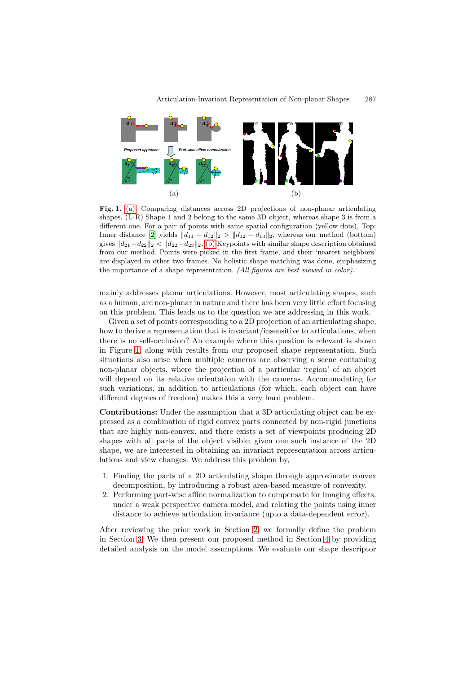<span id="page-1-0"></span>

**Fig. 1.** (a): Comparing distances across 2D projections of non-planar articulating shapes. (L-R) Shape 1 and 2 belong to the same 3D object, whereas shape 3 is from a different one. For a pair of points with same spatial configuration (yellow dots), Top: Inner distance [2] yields  $||d_{11} - d_{12}||_2 > ||d_{12} - d_{13}||_2$ , whereas our method (bottom) gives  $||d_{21}-d_{22}||_2 < ||d_{22}-d_{23}||_2$ . (b) Keypoints with similar shape description obtained from o[ur](#page-1-0) [m](#page-1-0)ethod. Points were picked in the first frame, and their 'nearest neighbors' are displayed in other two frames. No holistic shape matching was done, emphasizing the importance [o](#page-12-1)f a shape representation. (All figures are best viewed in color).

<span id="page-1-1"></span>mainly addresses planar articulations. However, most articulating shapes, such as a human, are non-planar in nature and there has been very little effort focusing on this problem. This leads us to the question we are addressing in this work.

Given a set of points corresponding to a 2D projection of an articulating shape, how to derive a representation that is invariant/insensitive to articulations, when there is no self-occlusion? An example where this question is relevant is shown in Figure 1, along with results from our proposed shape representation. Such situations also arise when multiple cameras are observing a scene containing non-planar objects, where the projection of a particular 'region' of an object will depend on its relative orientation with the cameras. Accommodating for such vari[ati](#page-1-1)ons, in addition to articulations (for which, each object can have different degrees of freedom) makes this a very hard problem.

**Contributions:** Under the assumption that a 3D articulating object can be expressed as a combination of rigid convex parts connected by non-rigid junctions that are highly non-convex, and there exists a set of viewpoints producing 2D shapes with all parts of the object visible; given one such instance of the 2D shape, we are interested in obtaining an invariant representation across articulations and view changes. We address this problem by,

- 1. Finding the parts of a 2D articulating shape through approximate convex decomposition, by introducing a robust area-based measure of convexity.
- 2. Performing part-wise affine normalization to compensate for imaging effects, under a weak perspective camera model, and relating the points using inner distance to achieve articulation invariance (upto a data-dependent error).

After reviewing the prior work in Section 2, we formally define the problem in Section 3. We then present our proposed method in Section 4 by providing detailed analysis on the model assumptions. We evaluate our shape descriptor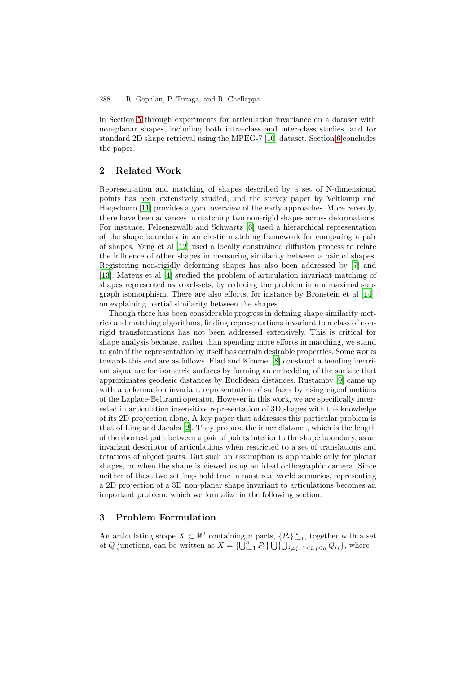in Section 5 through experiments for articulation invariance on a dataset with non-planar shapes, including both intra-class and inter-class studies, and for standard 2D shape retrieval using the MPEG-7 [10] dataset. Section 6 concludes the paper.

# **2 Related Work**

Representation and matching of shapes described by a set of N-dimensional points has been extensively studied, and the survey paper by Veltkamp and Hagedoorn [11] provides a good overview of the early approaches. More recently, there have been advances in matching two non-rigid shapes across deformations. For instance, Felzenszwalb and Schwartz [6] used a hierarchical representation of the shape boundary in an elastic matching framework for comparing a pair of shapes. [Yan](#page-13-0)g et al [12] used a locally constrained diffusion process to relate the influence of other shapes in measuring similarity between a pair of shapes. Registering non-rigidly deforming shapes [h](#page-12-4)as also been addressed by [7] and [13]. Mateus et al [4] studied the problem of articulation invariant matching of shapes represented as [vox](#page-13-1)el-sets, by reducing the problem into a maximal subgraph isomorphism. There are also efforts, for instance by Bronstein et al [14], on explaining partial similarity between the shapes.

[T](#page-13-2)hough there h[as](#page-12-2) been considerable progress in defining shape similarity metrics and matching algorithms, finding representations invariant to a class of nonrigid transformations has not been addressed extensively. This is critical [fo](#page-13-3)r shape analysis because, rather than spending more efforts in matching, we stand to gain if the representation by itself has certain desirable properties. Some works towards this end are as follows. Elad and Kimmel [8] construct a bending invariant signature for isometric surfaces by forming an embedding of the surface that approximates geodesic distances by Euclidean distances. Rustamov [9] came up with a deformation invariant representation of surfaces by using eigenfunctions of the Laplace-Beltrami operator. However in this [wo](#page-13-4)rk, we are specifically interested in articulation insensitive representation of 3D shapes with the knowledge of its 2D projection alone. A key paper that addresses this particula[r p](#page-13-5)roblem is that of Ling and Jacobs [2]. They propose the inner distance, which is the length of the shortest path between a pair of points interior to the shape boundary, as an invariant descriptor of articulations when restricted to a set of translations and rotations of object parts. But such an assumption is applicable only for planar shapes, or when the sha[pe](#page-12-1) is viewed using an ideal orthographic camera. Since neither of these two settings hold true in most real world scenarios, representing a 2D projection of a 3D non-planar shape invariant to articulations becomes an important problem, which we formalize in the following section.

# **3 Problem Formulation**

<span id="page-2-0"></span>An articulating shape  $X \subset \mathbb{R}^3$  containing n parts,  $\{P_i\}_{i=1}^n$ , together with a set of Q junctions, can be written as  $X = {\{\bigcup_{i=1}^{n} P_i\}} \cup {\{\bigcup_{i \neq j, 1 \leq i, j \leq n} Q_{ij}\}}$ , where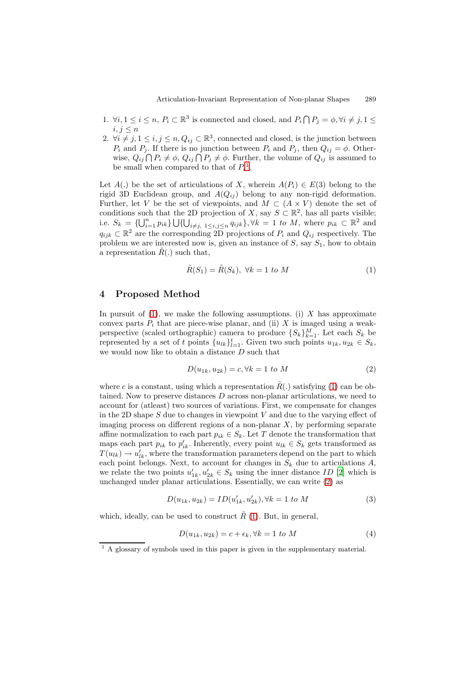- 1.  $\forall i, 1 \leq i \leq n, P_i \subset \mathbb{R}^3$  is connected and closed, and  $P_i \cap P_j = \phi, \forall i \neq j, 1 \leq j$  $i, j \leq n$
- 2.  $\forall i \neq j, 1 \leq i, j \leq n, Q_{ij} \subset \mathbb{R}^3$ , connected and closed, is the junction between  $P_i$  and  $P_j$ . If there is no junction between  $P_i$  and  $P_j$ , then  $Q_{ij} = \phi$ . Otherwise,  $Q_{ij} \bigcap P_i \neq \emptyset$ ,  $Q_{ij} \bigcap P_j \neq \emptyset$ . Further, the volume of  $Q_{ij}$  is assumed to be small when compared to that of  $P_i^1$ .

Let  $A(.)$  be the set of articulations of X, wherein  $A(P_i) \in E(3)$  belong to the rigid 3D Euclidean group, and  $A(Q_{ij})$  belong to any non-rigid deformation. Further, let V be the set of viewpoints, [an](#page-3-0)d  $M \subset (A \times V)$  denote the set of conditions such that the 2D projection of X, say  $S \subset \mathbb{R}^2$ , has all parts visible; *i.e.*  $S_k = \{ \bigcup_{i=1}^n p_{ik} \} \bigcup \{ \bigcup_{i \neq j, 1 \leq i, j \leq n} q_{ijk} \}, \forall k = 1 \text{ to } M, \text{ where } p_{ik} \subset \mathbb{R}^2 \text{ and }$  $q_{ijk} \text{ }\subset \mathbb{R}^2$  are the corresponding 2D projections of  $P_i$  and  $Q_{ij}$  respectively. The problem we are interested now is, given an instance of  $S$ , say  $S_1$ , how to obtain a representation  $R(.)$  such that,

<span id="page-3-1"></span>
$$
\tilde{R}(S_1) = \tilde{R}(S_k), \ \forall k = 1 \ to \ M \tag{1}
$$

# **4 Proposed Method**

<span id="page-3-2"></span>In pursuit of  $(1)$ , we make the following assumptions. (i) X has approximate convex parts  $P_i$  that are piece-wise planar, and (ii)  $X$  is imaged using a weakperspective (scaled orthographic) camera to produce  $\{S_k\}_{k=1}^M$ . Let each  $S_k$  be represented by a set of t points  $\{u_{lk}\}_{l=1}^t$ . Given two such points  $u_{1k}, u_{2k} \in S_k$ , we would now [lik](#page-3-1)e to obtain a distance D such that

$$
D(u_{1k}, u_{2k}) = c, \forall k = 1 \text{ to } M \tag{2}
$$

where c is a constant, using which a representation  $R(.)$  satisfying (1) can be obtained. Now to preserve distances  $D$  across non-planar articulations, we need to account for (atleast) two sources of variations. First, we compensate for changes in the 2D shape S due to changes in viewpoint V and due to the varying effect of imaging process on different regions of a non-planar  $X$ , by perfor[mi](#page-3-1)ng separate affine normalization to each part  $p_{ik} \in S_k$ . Let T denote the transformation that maps each part  $p_{ik}$  to  $p'_{ik}$ . Inherently, every point  $u_{lk} \in S_k$  gets transformed as  $T(u_{lk}) \to u'_{lk}$ , where the transformation parameters depend on the part to which each point belongs. Next, to account for changes in  $S_k$  due to articulations  $A$ , we relate the two points  $u'_{1k}, u'_{2k} \in S_k$  using the inner distance ID [2] which is unchanged under planar articulations. Essentially, we can write (2) as

$$
D(u_{1k}, u_{2k}) = ID(u'_{1k}, u'_{2k}), \forall k = 1 \text{ to } M
$$
\n(3)

which, ideally, can be used to construct  $\tilde{R}(1)$ . But, in general,

$$
D(u_{1k}, u_{2k}) = c + \epsilon_k, \forall k = 1 \text{ to } M \tag{4}
$$

<span id="page-3-0"></span> $\overline{1}$  A glossary of symbols used in this paper is [giv](#page-3-1)en in the supplementary material.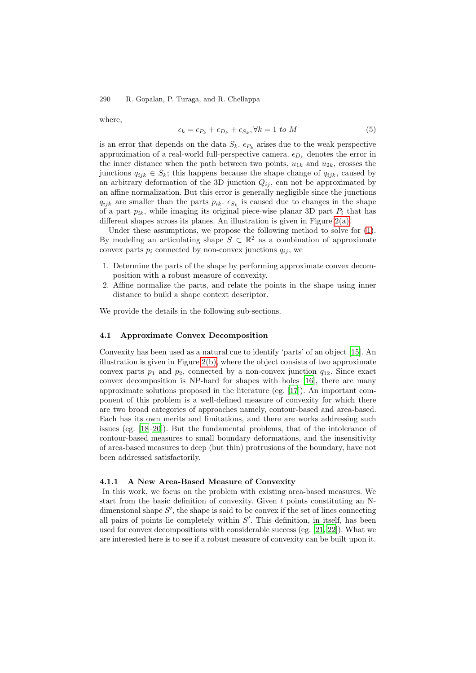where,

$$
\epsilon_k = \epsilon_{P_k} + \epsilon_{D_k} + \epsilon_{S_k}, \forall k = 1 \text{ to } M \tag{5}
$$

<span id="page-4-0"></span>is an error that depends on the data  $S_k$ .  $\epsilon_{P_k}$  arises due to the weak perspective approximation of a real-world full-perspective camera.  $\epsilon_{D_k}$  denotes the error in the inner distance when the path between two points,  $u_{1k}$  and  $u_{2k}$ , crosses the junctions  $q_{ijk} \in S_k$ ; this happens because the shape change of  $q_{ijk}$ , caused by an arbitrary deformation of the 3D junction  $Q_{ij}$ , can not be approximated by an affine normalization. But this error is generally negligible since the junctions  $q_{ijk}$  are smaller than the parts  $p_{ik}$ .  $\epsilon_{S_k}$  is caused due to changes in the shape of a part  $p_{ik}$ , while imaging its original piece-wise planar 3D part  $P_i$  that has different shapes across its planes. An illustration is given in Figure 2(a).

Under these assumptions, we propose the following method to solve for  $(1)$ . By modeling an articulating shape  $S \subset \mathbb{R}^2$  as a combination of approximate convex parts  $p_i$  connected by non-convex junctions  $q_{ij}$ , we

- 1. Determine the parts of the shape by performing approximate co[nvex](#page-5-0) dec[om](#page-3-1)position with a robust measure of convexity.
- 2. Affine normalize the parts, and relate the points in the shape using inner distance to build a shape context descriptor.

We provide the details in the following sub-sections.

### **4.1 Approximate Convex Decomposition**

<span id="page-4-1"></span>Convexity has been used as a natural cue to identify 'parts' of an object [15]. An illustration is given in Figure  $2(b)$ , where the object consists of two approximate convex parts  $p_1$  and  $p_2$ , connected by a non-convex junction  $q_{12}$ . Since exact convex decomposition is NP-hard for shapes with holes [16], there are many approximate solutions proposed in the literature (eg. [17]). An importa[nt](#page-13-6) component of this problem is a [well-d](#page-5-1)efined measure of convexity for which there are two broad categories of approaches namely, contour-based and area-based. Each has its own merits and limitations, and there are w[ork](#page-13-7)s addressing such issues (eg. [18–20]). But the fundamental problems, [tha](#page-13-8)t of the intolerance of contour-based measures to small boundary deformations, and the insensitivity of area-based measures to deep (but thin) protrusions of the boundary, have not been addressed satisfactorily.

#### **4.1.1 A New Area-Based Measure of Convexity**

In this work, we focus on the problem with existing area-based measures. We start from the basic definition of convexity. Given  $t$  points constituting an Ndimensional shape  $S'$ , the shape is said to be convex if the set of lines connecting all pairs of points lie completely within  $S'$ . This definition, in itself, has been used for convex decompositions with considerable success (eg. [21, 22]). What we are interested here is to see if a robust measure of convexity can be built upon it.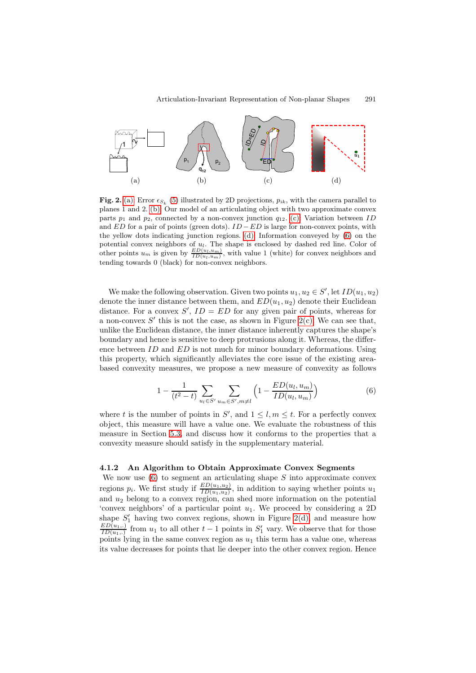<span id="page-5-0"></span>

<span id="page-5-2"></span><span id="page-5-1"></span>Fig. 2. (a): Error  $\epsilon_{S_k}$  (5) illustrated by 2D projections,  $p_{ik}$ , with the camera parallel to planes 1 and 2. (b): Our model of an articulating object with two approximate convex parts  $p_1$  and  $p_2$ , connected by a non-convex junction  $q_{12}$ . (c): Variation between ID and  $ED$  for a pair of points (green dots).  $ID - ED$  is large for non-convex points, with the yellow dots indicating junction regions. (d): Information conveyed by (6) on the potenti[al](#page-5-0) [co](#page-5-0)nvex neig[hb](#page-4-0)ors of u*l*. The shape is enclosed by dashed red line. Color of other points  $u_m$  [is](#page-5-1) given by  $\frac{ED(u_l, u_m)}{ID(u_l, u_m)}$ , with value 1 (whit[e\) fo](#page-5-2)r convex neighbors and tending towards 0 (black) for non-convex neighbors.

We make the following observation. Given two points  $u_1, u_2 \in S'$ , let  $ID(u_1, u_2)$ denote the inner distance between them, and  $ED(u_1, u_2)$  denote their Euclidean distance. For a convex  $S'$ ,  $ID = ED$  for any given pair of points, whereas for a non-convex S' this is not the case, as shown in Figure 2(c). We can see that, unlike the Euclidean distance, the inner distance inherently captures the shape's boundary and hence is sensitive to deep protrusions along it. Whereas, the difference between  $ID$  and  $ED$  is not much for minor boundary deformations. Using this property, which significantly alleviates the core issu[e of](#page-5-2) the existing areabased convexity measures, we propose a new measure of convexity as follows

$$
1 - \frac{1}{(t^2 - t)} \sum_{u_l \in S'} \sum_{u_m \in S', m \neq l} \left( 1 - \frac{ED(u_l, u_m)}{ID(u_l, u_m)} \right) \tag{6}
$$

<span id="page-5-3"></span>where t is the number of points in  $S'$ , and  $1 \leq l, m \leq t$ . For a perfectly convex object, this measure will have a value one. We evaluate the robustness of this measure in Section 5.3, and discuss how it conforms to the properties that a convexity measure should satisfy in the supplementary material.

#### **4.1.2 An Algorithm to Obtain Approximate Convex Segments**

We now use  $(6)$  to [seg](#page-11-0)ment an articulating shape S into approximate convex regions  $p_i$ . We first study if  $\frac{ED(u_1, u_2)}{ID(u_1, u_2)}$ , in addition to saying whether points  $u_1$ and  $u_2$  belong to a convex region, can shed more information on the potential 'convex neighbors' of a particular point  $u_1$ . We proceed by considering a 2D shape  $S'_1$  havi[ng](#page-5-3) two convex regions, shown in Figure 2(d), and measure how  $\frac{ED(u_1, .)}{ID(u_1, .)}$  from  $u_1$  to all other  $t - 1$  points in  $S'_1$  vary. We observe that for those points lying in the same convex region as  $u_1$  this term has a value one, whereas its value decreases for points that lie deeper into the other convex region. Hence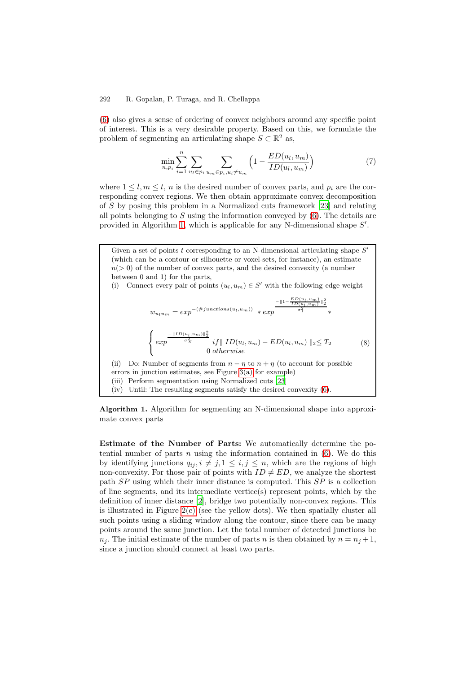(6) also gives a sense of ordering of convex neighbors around any specific point of interest. This is a very desirable property. Based on this, we formulate the problem of segmenting an articulating shape  $S \subset \mathbb{R}^2$  as,

$$
\min_{n,p_i} \sum_{i=1}^n \sum_{u_l \in p_i} \sum_{u_m \in p_i, u_l \neq u_m} \left( 1 - \frac{ED(u_l, u_m)}{ID(u_l, u_m)} \right) \tag{7}
$$

where  $1 \leq l, m \leq t, n$  is the desired number of convex parts, and  $p_i$  are the corresponding convex regions. We then obtain approximate convex decomposition of S by posing this problem in a Normalized cuts framework [23] and relating all points belonging to  $S$  using the information conveyed by  $(6)$ . The details are provided in Algorithm 1, which is applicable for any N-dimensional shape  $S'$ .

Given a set of points  $t$  corresponding to an N-dimensional art[icu](#page-5-3)[lati](#page-13-9)ng shape  $S'$ (which can be a contour or silhouette or voxel-sets, for instance), an estimate  $n(> 0)$  of the numbe[r](#page-6-0) [o](#page-6-0)f convex parts, and the desired convexity (a number between 0 and 1) for the parts, (i) Connect every pair of points  $(u_l, u_m) \in S'$  with the following edge weight  $w_{u_l u_m} = exp^{-(\#junction(u_l, u_m))} * exp^{-(\#junction(u_l, u_m))}$  $\frac{-\|1-\frac{ED(u_l,u_m)}{ID(u_l,u_m)}\|_2^2}{\sigma_l^2}$ ⎧  $\overline{J}$  $\sqrt{2}$ exp  $\frac{-\|ID(u_l, u_m)\|_2^2}{\sigma_X^2}$  *if* $\|ID(u_l, u_m) - ED(u_l, u_m)\|_2 \leq T_2$ 0 otherwise (8) (ii) Do: Number of segments from  $n - n$  to  $n + n$  (to account for possible errors in junction estimates, see Figure 3(a) for example) (iii) Perform segmentation using Normalized cuts [23] (iv) Until: The resulting segments satisfy the desired convexity (6).

<span id="page-6-1"></span><span id="page-6-0"></span>**Algorithm 1.** Algorithm for segmentin[g an](#page-7-0) N-dimensional shape into approximate convex parts

**Estimate of the Number of Parts:** We automatically determine the potential number of parts  $n$  using the information contained in  $(6)$ . We do this by identifying junctions  $q_{ij}, i \neq j, 1 \leq i, j \leq n$ , which are the regions of high non-convexity. For those pair of points with  $ID \neq ED$ , we analyze the shortest path  $SP$  using which their inner distance is computed. This  $SP$  is a collection of line segments, and its intermediate vertice(s) represent point[s,](#page-5-3) which by the definition of inner distance [2], bridge two potentially non-convex regions. This is illustrated in Figure 2(c) (see the yellow dots). We then spatially cluster all such points using a sliding window along the contour, since there can be many points around the same junction. Let the total number of detected junctions be  $n_j$ . T[he](#page-12-1) initial estimate of the number of parts n is then obtained by  $n = n_j + 1$ , since a junction should [conn](#page-5-2)ect at least two parts.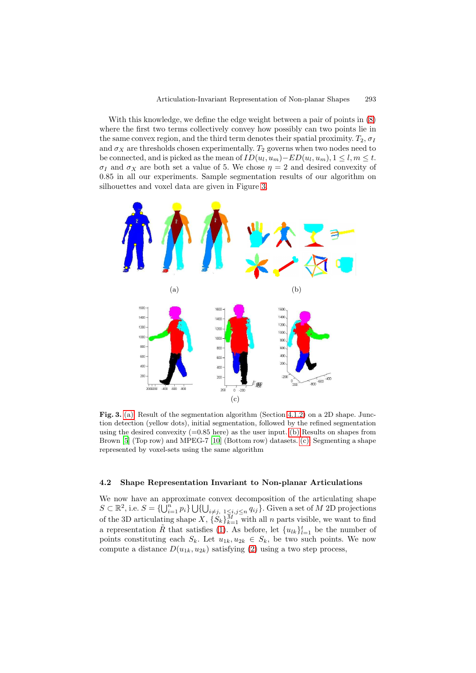With this knowledge, we define the edge weight between a pair of points in (8) where the first two terms collectively convey how possibly can two points lie in the same convex region, and the third term denotes their spatial proximity.  $T_2$ ,  $\sigma_I$ and  $\sigma_X$  are thresholds chosen experimentally.  $T_2$  governs when two nodes need to be connec[t](#page-6-1)ed, and is picked as the mean of  $ID(u_l, u_m) - ED(u_l, u_m)$ ,  $1 \leq l, m \leq t$ .  $\sigma$ *I* and  $\sigma$ *X* are both set a value of 5. We chose  $\eta = 2$  and desired convexity of 0.85 in all our experiments. Sample segmentation results of our algorithm on silhouettes and voxel data are given in Figure 3.

<span id="page-7-0"></span>

<span id="page-7-3"></span><span id="page-7-1"></span>Fig. 3. (a): Result of the segmentation algorithm (Section 4.1.2) on a 2D shape. Junction detection (yellow dots), initial segmentation, followed by the refined segmentation using the desired convexity  $(=0.85$  here) as the user input. (b) Results on shapes from Brown [5] (Top row) and MPEG-7 [10] (Bottom row) datasets. (c): Segmenting a shape represe[nted](#page-7-0) by voxel-sets using the same algorithm

### **4.2 [Sh](#page-12-5)ape Representation [Inv](#page-13-10)ariant to Non-plan[ar](#page-7-1) Articulations**

<span id="page-7-2"></span>We now have an approximate convex decomposition of the articulating shape  $S \subset \mathbb{R}^2$ , i.e.  $S = \{\bigcup_{i=1}^n p_i\} \bigcup \{\bigcup_{i \neq j, 1 \leq i, j \leq n} q_{ij}\}\.$  Given a set of M 2D projections of the 3D articulating shape  $X$ ,  $\{S_k\}_{k=1}^M$  with all n parts visible, we want to find a representation  $\tilde{R}$  that satisfies (1). As before, let  $\{u_{lk}\}_{l=1}^t$  be the number of points constituting each  $S_k$ . Let  $u_{1k}, u_{2k} \in S_k$ , be two such points. We now compute a distance  $D(u_{1k}, u_{2k})$  satisfying (2) using a two step process,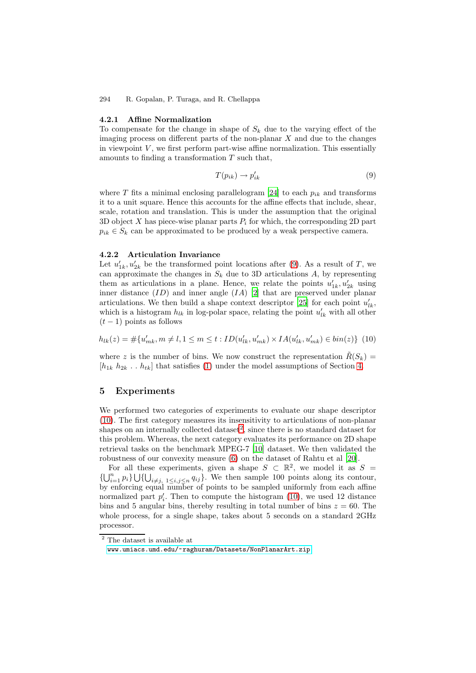#### **4.2.1 Affine Normalization**

To compensate for the change in shape of  $S_k$  due to the varying effect of the imaging process on different parts of the non-planar  $X$  and due to the changes in viewpoint  $V$ , we first perform part-wise affine normalization. This essentially amounts to finding a transformation T such that,

<span id="page-8-0"></span>
$$
T(p_{ik}) \to p'_{ik} \tag{9}
$$

where T fits a minimal enclosing parallelogram  $[24]$  to each  $p_{ik}$  and transforms it to a unit square. Hence this accounts for the affine effects that include, shear, scale, rotation and translation. This is under the assumption that the original 3D object X has piece-wise planar parts  $P_i$  for which, the corresponding 2D part  $p_{ik} \in S_k$  can be approximated to be produced b[y a](#page-13-11) weak perspective camera.

### **4.2.2 Articulation Invariance**

Let  $u'_{1k}, u'_{2k}$  be the transformed point locations after (9). As a result of T, we can approximate the changes in  $S_k$  due to 3D articulations  $A$ , by representing them as articulations in a plane. Hence, we relate the points  $u'_{1k}, u'_{2k}$  using inner distance  $(ID)$  and inner angle  $(IA)$  [2] that are preserved under planar articulations. We then build a shape context descriptor  $[25]$  for each point  $u'_{lk}$ , which is a histogram  $h_{lk}$  in log-polar space, relating the point  $u'_{lk}$  with all other  $(t-1)$  points as follows

$$
h_{lk}(z) = #\{u'_{mk}, m \neq l, 1 \le m \le t : ID(u'_{lk}, u'_{mk}) \times IA(u'_{lk}, u'_{mk}) \in bin(z)\} \tag{10}
$$

<span id="page-8-1"></span>where z is the number of bins. We now construct the representation  $R(S_k)$  $[h_{1k} h_{2k} \dots h_{tk}]$  that satisfies (1) under the model assumptions of Section 4.

# **5 Experiments**

We performed two categories [of](#page-3-1) experiments to evaluate our shape desc[rip](#page-3-2)tor (10). The first category measures its insensitivity to articulations of non-planar shapes on an internally collected dataset<sup>2</sup>, since there is no standard dataset for this problem. Whereas, the next category evaluates its performance on 2D shape retrieval tasks on the benchmark MPEG-7 [10] dataset. We then validated the [robu](#page-8-1)stness of our convexity measure (6) on the dataset of Rahtu et al [20].

For all these experiments, given a [sh](#page-8-2)ape  $S \subset \mathbb{R}^2$ , we model it as  $S =$  $\{\bigcup_{i=1}^n p_i\} \bigcup \{\bigcup_{i \neq j, 1 \leq i, j \leq n} q_{ij}\}.$  We then sample 100 points along its contour, by enforcing equal number of points to be [sam](#page-13-10)pled uniformly from each affine normalized part  $p_i'$ . Then to comput[e t](#page-5-3)he histogram  $(10)$ , we used 12 [dis](#page-13-13)tance bins and 5 angular bins, thereby resulting in total number of bins  $z = 60$ . The whole process, for a single shape, takes about 5 seconds on a standard 2GHz processor.

<sup>2</sup> The dataset is available at

<span id="page-8-2"></span>www.umiacs.umd.edu/~raghuram/Datasets/NonPlanarArt.zip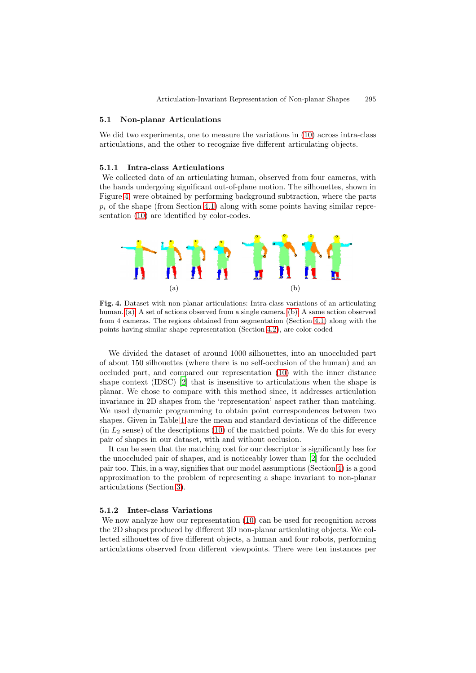#### **5.1 Non-planar Articulations**

We did two experiments, one to measure the variations in (10) across intra-class articulations, and the other to recognize five different articulating objects.

### **5.1.1 Intra-class Articulations**

We collected data of an articulating human, observed fro[m](#page-8-1) [f](#page-8-1)our cameras, with the hands undergoing significant out-of-plane motion. The silhouettes, shown in Figure 4, were obtained by performing background subtraction, where the parts  $p_i$  of the shape (from Section 4.1) along with some points having similar representation (10) are identified by color-codes.



<span id="page-9-1"></span><span id="page-9-0"></span>**Fig. 4.** Dataset with non-planar articulations: Intra-class variations of an articulating human. (a): A set of actions observed from a single camera. (b): A same action observed from 4 cameras. The regions obtained from segmentation (Section 4.1) along with the points having similar shape representation (Section 4.2), are color-coded

We [divi](#page-9-0)ded the dataset of around 1000 silhouettes[, int](#page-9-1)o an unoccluded part of about 150 silhouettes (where there is no self-occlusion of t[he](#page-4-1) [h](#page-4-1)uman) and an occluded part, and compared our representati[on](#page-7-2) [\(](#page-7-2)10) with the inner distance shape context (IDSC) [2] that is insensitive to articulations when the shape is planar. We chose to compare with this method since, it addresses articulation invariance in 2D shapes from the 'representation' aspect rather than matching. We used dynamic programming to obtain point c[orre](#page-8-1)spondences between two shapes. Given in Table [1](#page-12-1) are the mean and standard deviations of the difference  $(in L<sub>2</sub> sense)$  of the descriptions  $(10)$  of the matched points. We do this for every pair of shapes in our dataset, with and without occlusion.

It can be seen that the matching cost for our descriptor is significantly less for the unoccluded pair of [sh](#page-10-0)apes, and is noticeably lower than [2] for the occluded pair too. This, in a way, signifies t[hat](#page-8-1) our model assumptions (Section 4) is a good approximation to the problem of representing a shape invariant to non-planar articulations (Section 3).

### **5.1.2 Inter-class Variations**

We now analyze how our representation (10) can be used for recognition across the 2D shapes produc[ed](#page-2-0) by different 3D non-planar articulating objects. We collected silhouettes of five different objects, a human and four robots, performing articulations observed from different viewpoints. There were ten instances per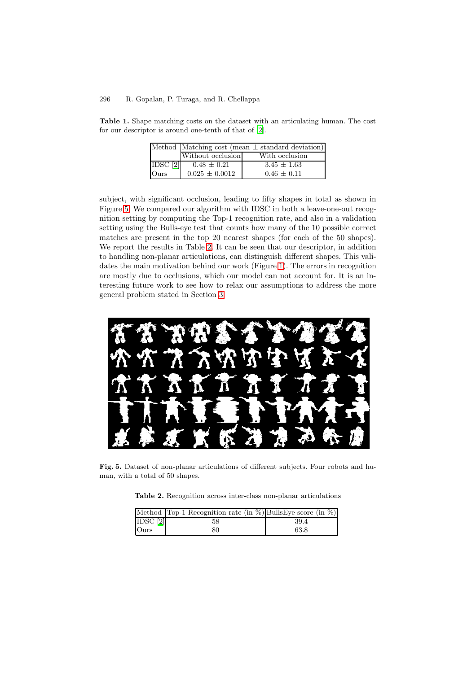**Table 1.** Shape matching costs on the dataset with an articulating human. The cost for our descriptor is around one-tenth of that of [2].

<span id="page-10-0"></span>

|            | Method Matching cost (mean $\pm$ standard deviation) |                |
|------------|------------------------------------------------------|----------------|
|            | Without occlusion                                    | With occlusion |
| $IDSC$ [2] | $0.48 \pm 0.21$                                      | $3.45 + 1.63$  |
| Ours       | $0.025 \pm 0.0012$                                   | $0.46 + 0.11$  |

subject, with significant occlusion, leading to fifty shapes in total as shown in Figure 5. We compar[ed](#page-12-1) our algorithm with IDSC in both a leave-one-out recognition setting by computing the Top-1 recognition rate, and also in a validation setting using the Bulls-eye test that counts how many of the 10 possible correct matches are present in the top 20 nearest shapes (for each of the 50 shapes). We re[por](#page-10-1)t the results in Table 2. It can be seen that our descriptor, in addition to handling non-planar articulations, can distinguish different shapes. This validates the main motivation behind our work (Figure 1). The errors in recognition are mostly due to occlusions, which our model can not account for. It is an interesting future work to see h[ow](#page-10-2) to relax our assumptions to address the more general problem stated in Section 3.



**Fig. 5.** Dataset of non-planar articulations of different subjects. Four robots and human, with a total of 50 shapes.

**Table 2.** Recognition across inter-class non-planar articulations

<span id="page-10-2"></span><span id="page-10-1"></span>

|         | Method Top-1 Recognition rate (in $\%$ ) BullsEye score (in $\%$ ) |      |
|---------|--------------------------------------------------------------------|------|
| IDSC[2] | 58                                                                 | 39.4 |
| Ours    | 80                                                                 | 63.8 |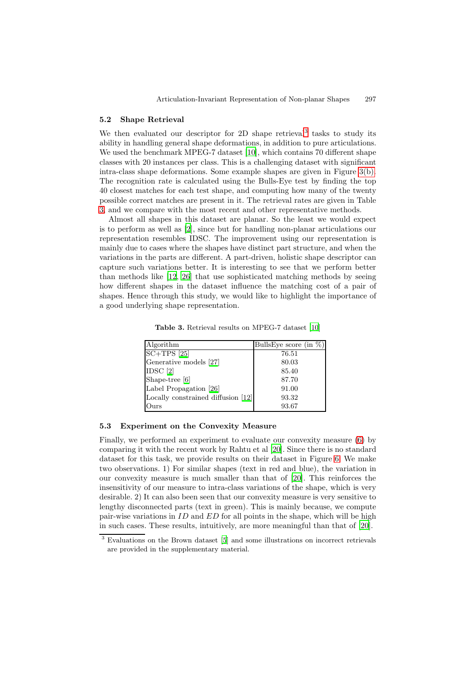#### **5.2 Shape Retrieval**

We then evaluated our descriptor for 2D shape retrieval<sup>3</sup> tasks to study its ability in handling general shape deformations, in addition to pure articulations. We used the benchmark MPEG-7 dataset [10], which contains 70 different shape classes with 20 instances per class. This is a challenging dataset with significant intra-class shape deformations. Some example shapes are [gi](#page-11-1)ven in Figure 3(b). The recognition rate is calculated using the Bulls-Eye test by finding the top 40 closest matches for each test shape, an[d c](#page-13-10)omputing how many of the twenty possible correct matches are present in it. The retrieval rates are given in Table 3, and we compare with the most recent and other representative method[s.](#page-7-3)

Almost all shapes in this dataset are planar. So the least we would expect is to perform as well as [2], since but for handling non-planar articulations our representation resembles IDSC. The improvement using our representation is [m](#page-11-2)ainly due to cases where the shapes have distinct part structure, and when the variations in the parts are different. A part-driven, holistic shape descriptor can capture such variations [be](#page-12-1)tter. It is interesting to see that we perform better than methods like [12, 26] that use sophisticated matching methods by seeing how different shapes in the dataset influence the matching cost of a pair of shapes. Hence through this study, we would like to highlight the importance of a good underlying shape representation.

**Table 3.** Retrieval results on MPEG-7 dataset [10]

<span id="page-11-2"></span>

| Algorithm                          | Bulls Eye score (in $\%$ ) |
|------------------------------------|----------------------------|
| $SC+TPS$ [25]                      | 76.51                      |
| Generative models [27]             | 80.03                      |
| IDSC [2]                           | 85.40                      |
| Shape-tree [6]                     | 87.70                      |
| Label Propagation [26]             | 91.00                      |
| Locally constrained diffusion [12] | 93.32                      |
| Ours                               | 93.67                      |

### **5.3 Experiment on [th](#page-12-4)e Convexity Measure**

<span id="page-11-0"></span>Finally, we performed an experiment to [eva](#page-13-1)luate our convexity measure (6) by comparing it with the recent work by Rahtu et al [20]. Since there is no standard dataset for this task, we provide results on their dataset in Figure 6. We make two observations. 1) For similar shapes (text in red and blue), the variation in our convexity measure is much smaller than that of [20]. This reinforc[es](#page-5-3) the insensitivity of our measure to intra-class variati[ons](#page-13-13) of the shape, which is very desirable. 2) It can also been seen that our convexity measure is ver[y s](#page-12-6)ensitive to lengthy disconnected parts (text in green). This is mainly because, we compute pair-wise variations in  $ID$  and  $ED$  for all points in the [sha](#page-13-13)pe, which will be high in such cases. These results, intuitively, are more meaningful than that of [20].

<span id="page-11-1"></span><sup>3</sup> Evaluations on the Brown dataset [5] and some illustrations on incorrect retrievals are provided in the supplementary material.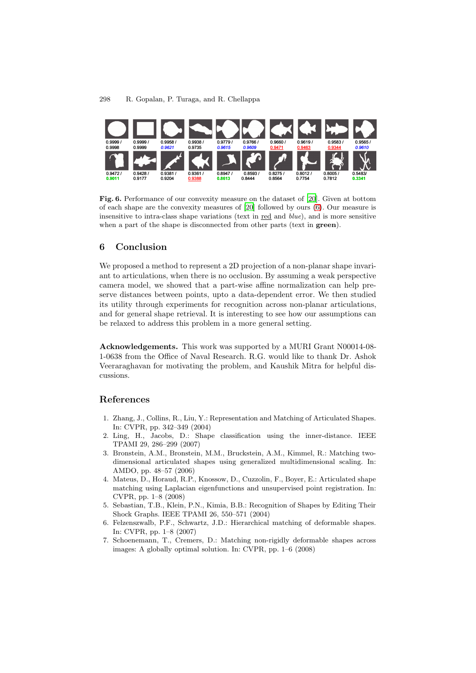

**Fig. 6.** Performance of our convexity measure on the dataset of [20]. Given at bottom of each shape are the convexity measures of [20] followed by ours (6). Our measure is insensitive to intra-class shape variations (text in  $red$  and  $blue$ ), and is more sensitive when a part of the shape is disconnected from other parts (text in **green**).

# <span id="page-12-6"></span>**6 Conclusion**

We proposed a method to represent a 2D projection of a non-planar shape invariant to articulations, when there is no occlusion. By assuming a weak perspective camera model, we showed that a part-wise affine normalization can help preserve distances between points, upto a data-dependent error. We then studied its utility through experiments for recognition across non-planar articulations, and for general shape retrieval. It is interesting to see how our assumptions can be relaxed to address this problem in a more general setting.

**Acknowledgements.** This work was supported by a MURI Grant N00014-08- 1-0638 from the Office of Naval Research. R.G. would like to thank Dr. Ashok Veeraraghavan for motivating the problem, and Kaushik Mitra for helpful discussions.

## **References**

- 1. Zhang, J., Collins, R., Liu, Y.: Representation and Matching of Articulated Shapes. In: CVPR, pp. 342–349 (2004)
- 2. Ling, H., Jacobs, D.: Shape classification using the inner-distance. IEEE TPAMI 29, 286–299 (2007)
- <span id="page-12-0"></span>3. Bronstein, A.M., Bronstein, M.M., Bruckstein, A.M., Kimmel, R.: Matching twodimensional articulated shapes using generalized multidimensional scaling. In: AMDO, pp. 48–57 (2006)
- <span id="page-12-1"></span>4. Mateus, D., Horaud, R.P., Knossow, D., Cuzzolin, F., Boyer, E.: Articulated shape matching using Laplacian eigenfunctions and unsupervised point registration. In: CVPR, pp. 1–8 (2008)
- 5. Sebastian, T.B., Klein, P.N., Kimia, B.B.: Recognition of Shapes by Editing Their Shock Graphs. IEEE TPAMI 26, 550–571 (2004)
- <span id="page-12-2"></span>6. Felzenszwalb, P.F., Schwartz, J.D.: Hierarchical matching of deformable shapes. In: CVPR, pp. 1–8 (2007)
- <span id="page-12-5"></span><span id="page-12-4"></span><span id="page-12-3"></span>7. Schoenemann, T., Cremers, D.: Matching non-rigidly deformable shapes across images: A globally optimal solution. In: CVPR, pp. 1–6 (2008)